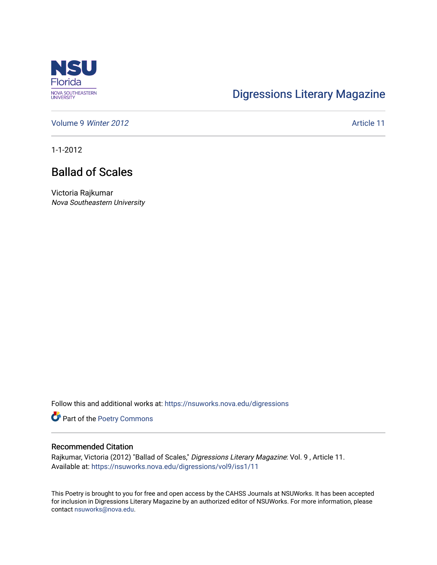

## [Digressions Literary Magazine](https://nsuworks.nova.edu/digressions)

[Volume 9](https://nsuworks.nova.edu/digressions/vol9) Winter 2012 **Article 11** Article 11

1-1-2012

## Ballad of Scales

Victoria Rajkumar Nova Southeastern University

Follow this and additional works at: [https://nsuworks.nova.edu/digressions](https://nsuworks.nova.edu/digressions?utm_source=nsuworks.nova.edu%2Fdigressions%2Fvol9%2Fiss1%2F11&utm_medium=PDF&utm_campaign=PDFCoverPages) 

Part of the [Poetry Commons](http://network.bepress.com/hgg/discipline/1153?utm_source=nsuworks.nova.edu%2Fdigressions%2Fvol9%2Fiss1%2F11&utm_medium=PDF&utm_campaign=PDFCoverPages) 

## Recommended Citation

Rajkumar, Victoria (2012) "Ballad of Scales," Digressions Literary Magazine: Vol. 9 , Article 11. Available at: [https://nsuworks.nova.edu/digressions/vol9/iss1/11](https://nsuworks.nova.edu/digressions/vol9/iss1/11?utm_source=nsuworks.nova.edu%2Fdigressions%2Fvol9%2Fiss1%2F11&utm_medium=PDF&utm_campaign=PDFCoverPages) 

This Poetry is brought to you for free and open access by the CAHSS Journals at NSUWorks. It has been accepted for inclusion in Digressions Literary Magazine by an authorized editor of NSUWorks. For more information, please contact [nsuworks@nova.edu.](mailto:nsuworks@nova.edu)